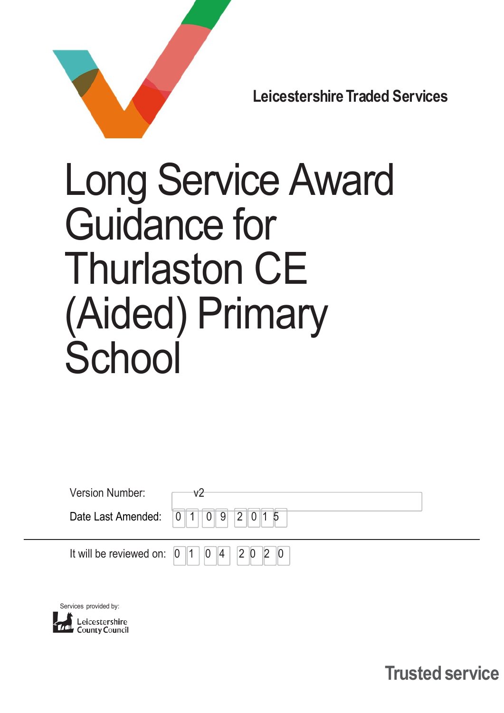

Leicestershire Traded Services

# Long Service Award Guidance for Thurlaston CE (Aided) Primary **School**

| <b>Version Number:</b> | v2 |
|------------------------|----|
|                        | 9  |
|                        | 20 |



Leicestershire

Trusted service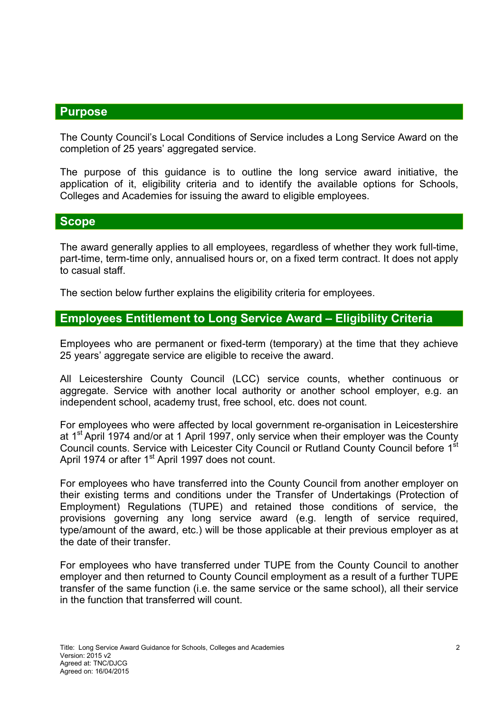## **Purpose**

The County Council's Local Conditions of Service includes a Long Service Award on the completion of 25 years' aggregated service.

The purpose of this guidance is to outline the long service award initiative, the application of it, eligibility criteria and to identify the available options for Schools, Colleges and Academies for issuing the award to eligible employees.

#### **Scope**

The award generally applies to all employees, regardless of whether they work full-time, part-time, term-time only, annualised hours or, on a fixed term contract. It does not apply to casual staff.

The section below further explains the eligibility criteria for employees.

### Employees Entitlement to Long Service Award – Eligibility Criteria

Employees who are permanent or fixed-term (temporary) at the time that they achieve 25 years' aggregate service are eligible to receive the award.

All Leicestershire County Council (LCC) service counts, whether continuous or aggregate. Service with another local authority or another school employer, e.g. an independent school, academy trust, free school, etc. does not count.

For employees who were affected by local government re-organisation in Leicestershire at 1<sup>st</sup> April 1974 and/or at 1 April 1997, only service when their employer was the County Council counts. Service with Leicester City Council or Rutland County Council before 1<sup>st</sup> April 1974 or after 1<sup>st</sup> April 1997 does not count.

For employees who have transferred into the County Council from another employer on their existing terms and conditions under the Transfer of Undertakings (Protection of Employment) Regulations (TUPE) and retained those conditions of service, the provisions governing any long service award (e.g. length of service required, type/amount of the award, etc.) will be those applicable at their previous employer as at the date of their transfer.

For employees who have transferred under TUPE from the County Council to another employer and then returned to County Council employment as a result of a further TUPE transfer of the same function (i.e. the same service or the same school), all their service in the function that transferred will count.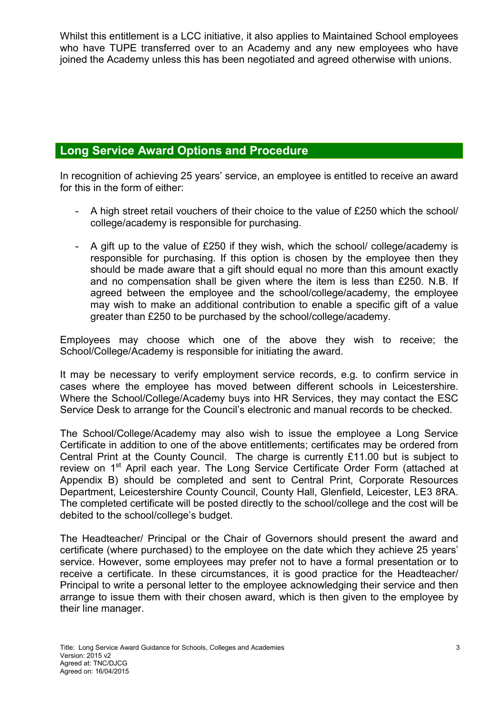Whilst this entitlement is a LCC initiative, it also applies to Maintained School employees who have TUPE transferred over to an Academy and any new employees who have joined the Academy unless this has been negotiated and agreed otherwise with unions.

## Long Service Award Options and Procedure

In recognition of achieving 25 years' service, an employee is entitled to receive an award for this in the form of either:

- A high street retail vouchers of their choice to the value of £250 which the school/ college/academy is responsible for purchasing.
- A gift up to the value of £250 if they wish, which the school/ college/academy is responsible for purchasing. If this option is chosen by the employee then they should be made aware that a gift should equal no more than this amount exactly and no compensation shall be given where the item is less than £250. N.B. If agreed between the employee and the school/college/academy, the employee may wish to make an additional contribution to enable a specific gift of a value greater than £250 to be purchased by the school/college/academy.

Employees may choose which one of the above they wish to receive; the School/College/Academy is responsible for initiating the award.

It may be necessary to verify employment service records, e.g. to confirm service in cases where the employee has moved between different schools in Leicestershire. Where the School/College/Academy buys into HR Services, they may contact the ESC Service Desk to arrange for the Council's electronic and manual records to be checked.

The School/College/Academy may also wish to issue the employee a Long Service Certificate in addition to one of the above entitlements; certificates may be ordered from Central Print at the County Council. The charge is currently £11.00 but is subject to review on 1<sup>st</sup> April each year. The Long Service Certificate Order Form (attached at Appendix B) should be completed and sent to Central Print, Corporate Resources Department, Leicestershire County Council, County Hall, Glenfield, Leicester, LE3 8RA. The completed certificate will be posted directly to the school/college and the cost will be debited to the school/college's budget.

The Headteacher/ Principal or the Chair of Governors should present the award and certificate (where purchased) to the employee on the date which they achieve 25 years' service. However, some employees may prefer not to have a formal presentation or to receive a certificate. In these circumstances, it is good practice for the Headteacher/ Principal to write a personal letter to the employee acknowledging their service and then arrange to issue them with their chosen award, which is then given to the employee by their line manager.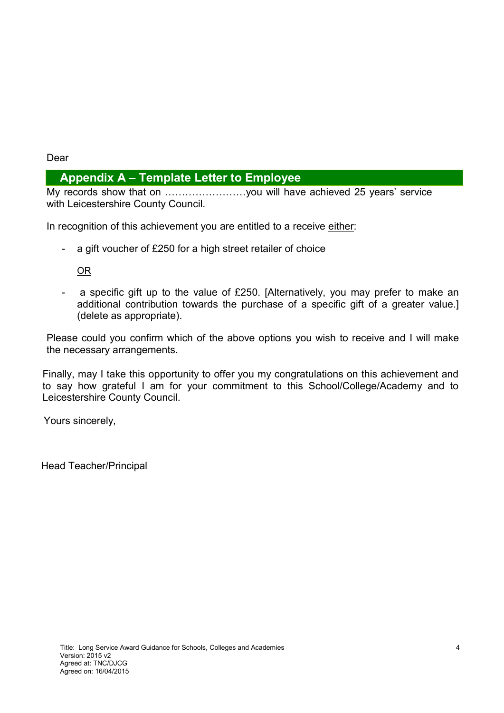#### Dear

## Appendix A – Template Letter to Employee

My records show that on ……………………you will have achieved 25 years' service with Leicestershire County Council.

In recognition of this achievement you are entitled to a receive either:

- a gift voucher of £250 for a high street retailer of choice

#### OR

a specific gift up to the value of £250. [Alternatively, you may prefer to make an additional contribution towards the purchase of a specific gift of a greater value.] (delete as appropriate).

Please could you confirm which of the above options you wish to receive and I will make the necessary arrangements.

Finally, may I take this opportunity to offer you my congratulations on this achievement and to say how grateful I am for your commitment to this School/College/Academy and to Leicestershire County Council.

Yours sincerely,

Head Teacher/Principal